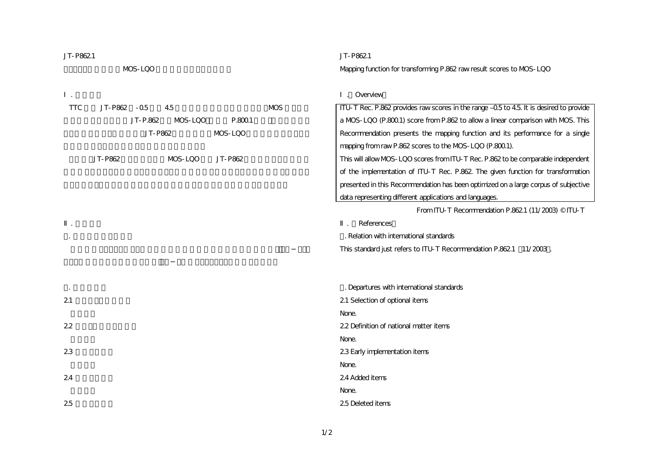| JT-P8621   |              |          |         |         |                                                                               | JT-P8621                                                                            |
|------------|--------------|----------|---------|---------|-------------------------------------------------------------------------------|-------------------------------------------------------------------------------------|
|            |              | MDS-LQO  |         |         |                                                                               | Mapping function for transforming P.862 rawresult scores to MDS-LQO                 |
|            |              |          |         |         |                                                                               |                                                                                     |
|            |              |          |         |         |                                                                               | . Overview                                                                          |
| <b>TTC</b> | JT-P862 - 05 |          | 4.5     |         | <b>MDS</b>                                                                    | ITU-T Rec. P.862 provides rawscores in the range 05 to 45 It is desired to provide  |
|            |              | JT-P.862 | MOS-LOO | P.8001  |                                                                               | a MDS-LQO (P.8001) score from P.862 to allow a linear comparison with MDS. This     |
| JT-P862    |              |          | MOS-LQO |         | Recommendation presents the mapping function and its performance for a single |                                                                                     |
|            |              |          |         |         |                                                                               | mapping from raw P.862 scores to the MDS-LQO (P.800.1).                             |
|            | JT-P862      |          | MDS-LQO | JT-P862 |                                                                               | This will allow MDS-LQO scores from ITU-T Rec. P.862 to be comparable independent   |
|            |              |          |         |         |                                                                               | of the implementation of ITU-T Rec. P.862 The given function for transformation     |
|            |              |          |         |         |                                                                               | presented in this Recommendation has been optimized on a large corpus of subjective |
|            |              |          |         |         |                                                                               | data representing different applications and languages.                             |
|            |              |          |         |         |                                                                               | From ITU-T Recommendation P.8621 (11/2003) © ITU-T                                  |
|            |              |          |         |         |                                                                               | References                                                                          |
|            |              |          |         |         |                                                                               | . Relation with international standards                                             |
|            |              |          |         |         |                                                                               | This standard just refers to ITU-T Recommendation P.8621 11/2003.                   |
|            |              |          |         |         |                                                                               |                                                                                     |
|            |              |          |         |         |                                                                               |                                                                                     |
|            |              |          |         |         |                                                                               | . Departures with international standards                                           |
| 21         |              |          |         |         |                                                                               | 21 Selection of optional items                                                      |
|            |              |          |         |         |                                                                               | None.                                                                               |
| 22         |              |          |         |         |                                                                               | 22 Definition of national matter items                                              |
|            |              |          |         |         |                                                                               | None.                                                                               |
| 23         |              |          |         |         |                                                                               | 23 Early implementation items                                                       |
|            |              |          |         |         |                                                                               | None.                                                                               |
| 24         |              |          |         |         |                                                                               | 24 Added items                                                                      |
|            |              |          |         |         |                                                                               | None.                                                                               |
| 25         |              |          |         |         |                                                                               | 25 Deleted items                                                                    |
|            |              |          |         |         |                                                                               |                                                                                     |